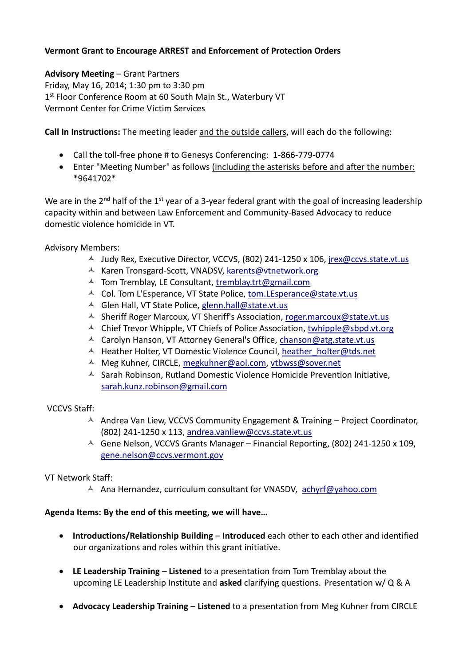## **Vermont Grant to Encourage ARREST and Enforcement of Protection Orders**

**Advisory Meeting** – Grant Partners Friday, May 16, 2014; 1:30 pm to 3:30 pm 1st Floor Conference Room at 60 South Main St., Waterbury VT Vermont Center for Crime Victim Services

**Call In Instructions:** The meeting leader and the outside callers, will each do the following:

- Call the toll-free phone # to Genesys Conferencing: 1-866-779-0774
- Enter "Meeting Number" as follows (including the asterisks before and after the number: \*9641702\*

We are in the  $2^{nd}$  half of the  $1^{st}$  year of a 3-year federal grant with the goal of increasing leadership capacity within and between Law Enforcement and Community-Based Advocacy to reduce domestic violence homicide in VT.

Advisory Members:

- $\sim$  Judy Rex, Executive Director, VCCVS, (802) 241-1250 x 106, [jrex@ccvs.state.vt.us](mailto:jrex@ccvs.state.vt.us)
- A Karen Tronsgard-Scott, VNADSV[, karents@vtnetwork.org](mailto:karents@vtnetwork.org)
- $\triangle$  Tom Tremblay, LE Consultant, tremblay.trt@gmail.com
- Col. Tom L'Esperance, VT State Police, [tom.LEsperance@state.vt.us](mailto:tom.LEsperance@state.vt.us)
- $\triangle$  Glen Hall, VT State Police, [glenn.hall@state.vt.us](mailto:glenn.hall@state.vt.us)
- $\triangle$  Sheriff Roger Marcoux, VT Sheriff's Association, [roger.marcoux@state.vt.us](mailto:roger.marcoux@state.vt.us)
- $\triangle$  Chief Trevor Whipple, VT Chiefs of Police Association, [twhipple@sbpd.vt.org](mailto:twhipple@sbpd.vt.org)
- $\lambda$  Carolyn Hanson, VT Attorney General's Office, [chanson@atg.state.vt.us](mailto:chanson@atg.state.vt.us)
- $\triangle$  Heather Holter, VT Domestic Violence Council, heather holter@tds.net
- A Meg Kuhner, CIRCLE, [megkuhner@aol.com,](mailto:megkuhner@aol.com) [vtbwss@sover.net](mailto:vtbwss@sover.net)
- $\triangle$  Sarah Robinson, Rutland Domestic Violence Homicide Prevention Initiative, [sarah.kunz.robinson@gmail.com](mailto:sarah.kunz.robinson@gmail.com)

## VCCVS Staff:

- $\triangle$  Andrea Van Liew, VCCVS Community Engagement & Training Project Coordinator, (802) 241-1250 x 113, [andrea.vanliew@ccvs.state.vt.us](mailto:andrea.vanliew@ccvs.state.vt.us)
- Gene Nelson, VCCVS Grants Manager Financial Reporting, (802) 241-1250 x 109, [gene.nelson@ccvs.vermont.gov](mailto:gene.nelson@ccvs.vermont.gov)

## VT Network Staff:

A Ana Hernandez, curriculum consultant for VNASDV, [achyrf@yahoo.com](mailto:achyrf@yahoo.com)

## **Agenda Items: By the end of this meeting, we will have…**

- **Introductions/Relationship Building Introduced** each other to each other and identified our organizations and roles within this grant initiative.
- **LE Leadership Training Listened** to a presentation from Tom Tremblay about the upcoming LE Leadership Institute and **asked** clarifying questions. Presentation w/ Q & A
- **Advocacy Leadership Training Listened** to a presentation from Meg Kuhner from CIRCLE